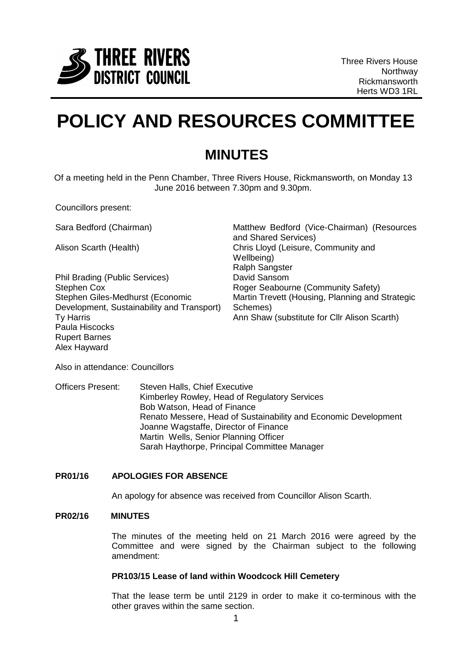

# **POLICY AND RESOURCES COMMITTEE**

## **MINUTES**

Of a meeting held in the Penn Chamber, Three Rivers House, Rickmansworth, on Monday 13 June 2016 between 7.30pm and 9.30pm.

Councillors present:

Phil Brading (Public Services) David Sansom Stephen Cox Stephen Giles-Medhurst (Economic Development, Sustainability and Transport) Ty Harris Paula Hiscocks Rupert Barnes Alex Hayward

Sara Bedford (Chairman) Matthew Bedford (Vice-Chairman) (Resources and Shared Services) Alison Scarth (Health) Chris Lloyd (Leisure, Community and Wellbeing) Ralph Sangster Roger Seabourne (Community Safety) Martin Trevett (Housing, Planning and Strategic Schemes) Ann Shaw (substitute for Cllr Alison Scarth)

Also in attendance: Councillors

Officers Present: Steven Halls, Chief Executive Kimberley Rowley, Head of Regulatory Services Bob Watson, Head of Finance Renato Messere, Head of Sustainability and Economic Development Joanne Wagstaffe, Director of Finance Martin Wells, Senior Planning Officer Sarah Haythorpe, Principal Committee Manager

### **PR01/16 APOLOGIES FOR ABSENCE**

An apology for absence was received from Councillor Alison Scarth.

#### **PR02/16 MINUTES**

The minutes of the meeting held on 21 March 2016 were agreed by the Committee and were signed by the Chairman subject to the following amendment:

#### **PR103/15 Lease of land within Woodcock Hill Cemetery**

That the lease term be until 2129 in order to make it co-terminous with the other graves within the same section.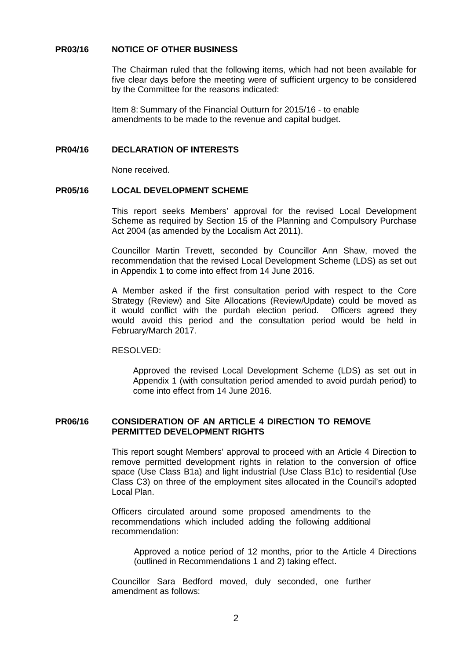#### **PR03/16 NOTICE OF OTHER BUSINESS**

The Chairman ruled that the following items, which had not been available for five clear days before the meeting were of sufficient urgency to be considered by the Committee for the reasons indicated:

Item 8: Summary of the Financial Outturn for 2015/16 - to enable amendments to be made to the revenue and capital budget.

#### **PR04/16 DECLARATION OF INTERESTS**

None received.

#### **PR05/16 LOCAL DEVELOPMENT SCHEME**

This report seeks Members' approval for the revised Local Development Scheme as required by Section 15 of the Planning and Compulsory Purchase Act 2004 (as amended by the Localism Act 2011).

Councillor Martin Trevett, seconded by Councillor Ann Shaw, moved the recommendation that the revised Local Development Scheme (LDS) as set out in Appendix 1 to come into effect from 14 June 2016.

A Member asked if the first consultation period with respect to the Core Strategy (Review) and Site Allocations (Review/Update) could be moved as it would conflict with the purdah election period. Officers agreed they would avoid this period and the consultation period would be held in February/March 2017.

#### RESOLVED:

Approved the revised Local Development Scheme (LDS) as set out in Appendix 1 (with consultation period amended to avoid purdah period) to come into effect from 14 June 2016.

#### **PR06/16 CONSIDERATION OF AN ARTICLE 4 DIRECTION TO REMOVE PERMITTED DEVELOPMENT RIGHTS**

This report sought Members' approval to proceed with an Article 4 Direction to remove permitted development rights in relation to the conversion of office space (Use Class B1a) and light industrial (Use Class B1c) to residential (Use Class C3) on three of the employment sites allocated in the Council's adopted Local Plan.

Officers circulated around some proposed amendments to the recommendations which included adding the following additional recommendation:

Approved a notice period of 12 months, prior to the Article 4 Directions (outlined in Recommendations 1 and 2) taking effect.

Councillor Sara Bedford moved, duly seconded, one further amendment as follows: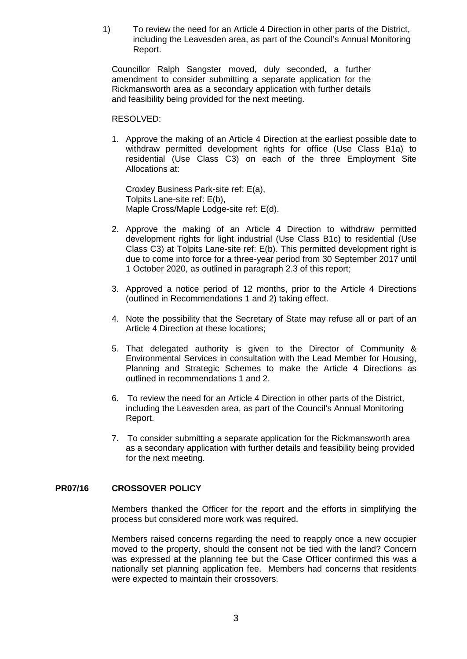1) To review the need for an Article 4 Direction in other parts of the District, including the Leavesden area, as part of the Council's Annual Monitoring Report.

Councillor Ralph Sangster moved, duly seconded, a further amendment to consider submitting a separate application for the Rickmansworth area as a secondary application with further details and feasibility being provided for the next meeting.

#### RESOLVED:

1. Approve the making of an Article 4 Direction at the earliest possible date to withdraw permitted development rights for office (Use Class B1a) to residential (Use Class C3) on each of the three Employment Site Allocations at:

Croxley Business Park-site ref: E(a), Tolpits Lane-site ref: E(b), Maple Cross/Maple Lodge-site ref: E(d).

- 2. Approve the making of an Article 4 Direction to withdraw permitted development rights for light industrial (Use Class B1c) to residential (Use Class C3) at Tolpits Lane-site ref: E(b). This permitted development right is due to come into force for a three-year period from 30 September 2017 until 1 October 2020, as outlined in paragraph 2.3 of this report;
- 3. Approved a notice period of 12 months, prior to the Article 4 Directions (outlined in Recommendations 1 and 2) taking effect.
- 4. Note the possibility that the Secretary of State may refuse all or part of an Article 4 Direction at these locations;
- 5. That delegated authority is given to the Director of Community & Environmental Services in consultation with the Lead Member for Housing, Planning and Strategic Schemes to make the Article 4 Directions as outlined in recommendations 1 and 2.
- 6. To review the need for an Article 4 Direction in other parts of the District, including the Leavesden area, as part of the Council's Annual Monitoring Report.
- 7. To consider submitting a separate application for the Rickmansworth area as a secondary application with further details and feasibility being provided for the next meeting.

#### **PR07/16 CROSSOVER POLICY**

Members thanked the Officer for the report and the efforts in simplifying the process but considered more work was required.

Members raised concerns regarding the need to reapply once a new occupier moved to the property, should the consent not be tied with the land? Concern was expressed at the planning fee but the Case Officer confirmed this was a nationally set planning application fee. Members had concerns that residents were expected to maintain their crossovers.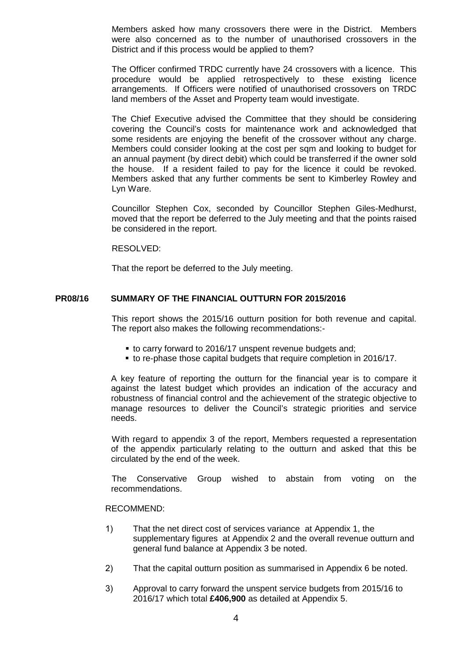Members asked how many crossovers there were in the District. Members were also concerned as to the number of unauthorised crossovers in the District and if this process would be applied to them?

The Officer confirmed TRDC currently have 24 crossovers with a licence. This procedure would be applied retrospectively to these existing licence arrangements. If Officers were notified of unauthorised crossovers on TRDC land members of the Asset and Property team would investigate.

The Chief Executive advised the Committee that they should be considering covering the Council's costs for maintenance work and acknowledged that some residents are enjoying the benefit of the crossover without any charge. Members could consider looking at the cost per sqm and looking to budget for an annual payment (by direct debit) which could be transferred if the owner sold the house. If a resident failed to pay for the licence it could be revoked. Members asked that any further comments be sent to Kimberley Rowley and Lyn Ware.

Councillor Stephen Cox, seconded by Councillor Stephen Giles-Medhurst, moved that the report be deferred to the July meeting and that the points raised be considered in the report.

#### RESOLVED:

That the report be deferred to the July meeting.

#### **PR08/16 SUMMARY OF THE FINANCIAL OUTTURN FOR 2015/2016**

This report shows the 2015/16 outturn position for both revenue and capital. The report also makes the following recommendations:-

- to carry forward to 2016/17 unspent revenue budgets and;
- to re-phase those capital budgets that require completion in 2016/17.

A key feature of reporting the outturn for the financial year is to compare it against the latest budget which provides an indication of the accuracy and robustness of financial control and the achievement of the strategic objective to manage resources to deliver the Council's strategic priorities and service needs.

With regard to appendix 3 of the report, Members requested a representation of the appendix particularly relating to the outturn and asked that this be circulated by the end of the week.

The Conservative Group wished to abstain from voting on the recommendations.

#### RECOMMEND:

- 1) That the net direct cost of services variance at Appendix 1, the supplementary figures at Appendix 2 and the overall revenue outturn and general fund balance at Appendix 3 be noted.
- 2) That the capital outturn position as summarised in Appendix 6 be noted.
- 3) Approval to carry forward the unspent service budgets from 2015/16 to 2016/17 which total **£406,900** as detailed at Appendix 5.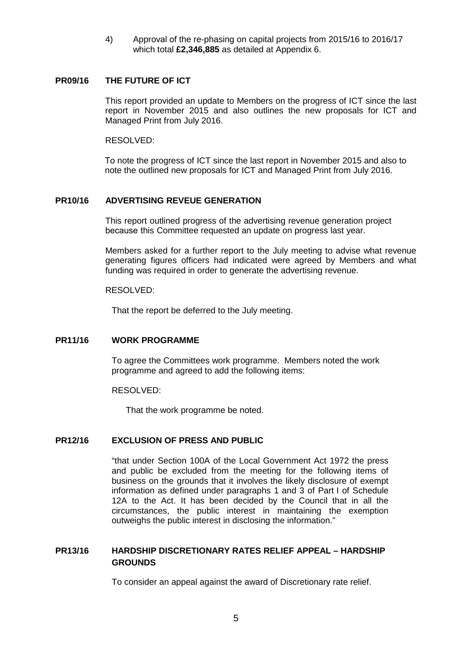4) Approval of the re-phasing on capital projects from 2015/16 to 2016/17 which total **£2,346,885** as detailed at Appendix 6.

#### **PR09/16 THE FUTURE OF ICT**

This report provided an update to Members on the progress of ICT since the last report in November 2015 and also outlines the new proposals for ICT and Managed Print from July 2016.

RESOLVED:

To note the progress of ICT since the last report in November 2015 and also to note the outlined new proposals for ICT and Managed Print from July 2016.

#### **PR10/16 ADVERTISING REVEUE GENERATION**

This report outlined progress of the advertising revenue generation project because this Committee requested an update on progress last year.

Members asked for a further report to the July meeting to advise what revenue generating figures officers had indicated were agreed by Members and what funding was required in order to generate the advertising revenue.

#### RESOLVED:

That the report be deferred to the July meeting.

#### **PR11/16 WORK PROGRAMME**

To agree the Committees work programme. Members noted the work programme and agreed to add the following items:

RESOLVED:

That the work programme be noted.

#### **PR12/16 EXCLUSION OF PRESS AND PUBLIC**

"that under Section 100A of the Local Government Act 1972 the press and public be excluded from the meeting for the following items of business on the grounds that it involves the likely disclosure of exempt information as defined under paragraphs 1 and 3 of Part I of Schedule 12A to the Act. It has been decided by the Council that in all the circumstances, the public interest in maintaining the exemption outweighs the public interest in disclosing the information."

## **PR13/16 HARDSHIP DISCRETIONARY RATES RELIEF APPEAL – HARDSHIP GROUNDS**

To consider an appeal against the award of Discretionary rate relief.